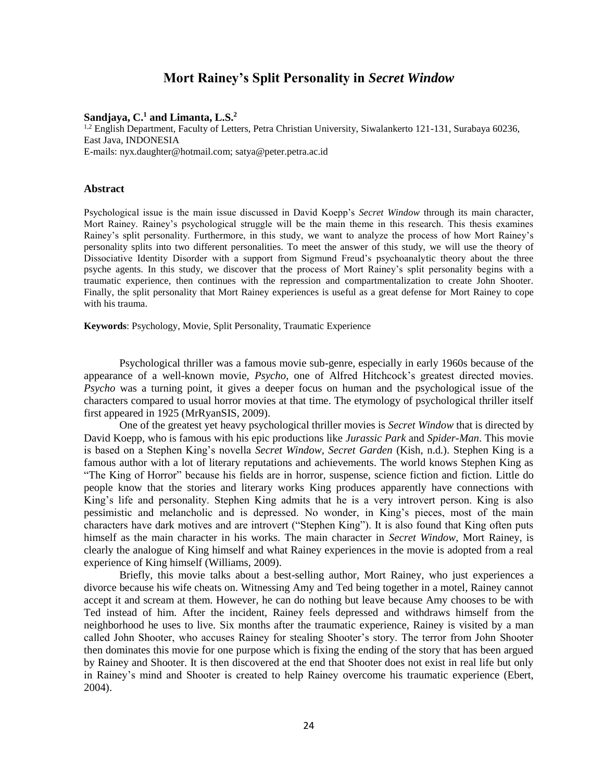# **Mort Rainey's Split Personality in** *Secret Window*

## **Sandjaya, C.<sup>1</sup> and Limanta, L.S.<sup>2</sup>**

1,2 English Department, Faculty of Letters, Petra Christian University, Siwalankerto 121-131, Surabaya 60236, East Java, INDONESIA

E-mails: nyx.daughter@hotmail.com; satya@peter.petra.ac.id

## **Abstract**

Psychological issue is the main issue discussed in David Koepp's *Secret Window* through its main character, Mort Rainey. Rainey's psychological struggle will be the main theme in this research. This thesis examines Rainey's split personality. Furthermore, in this study, we want to analyze the process of how Mort Rainey's personality splits into two different personalities. To meet the answer of this study, we will use the theory of Dissociative Identity Disorder with a support from Sigmund Freud's psychoanalytic theory about the three psyche agents. In this study, we discover that the process of Mort Rainey's split personality begins with a traumatic experience, then continues with the repression and compartmentalization to create John Shooter. Finally, the split personality that Mort Rainey experiences is useful as a great defense for Mort Rainey to cope with his trauma.

**Keywords**: Psychology, Movie, Split Personality, Traumatic Experience

Psychological thriller was a famous movie sub-genre, especially in early 1960s because of the appearance of a well-known movie, *Psycho*, one of Alfred Hitchcock's greatest directed movies. *Psycho* was a turning point, it gives a deeper focus on human and the psychological issue of the characters compared to usual horror movies at that time. The etymology of psychological thriller itself first appeared in 1925 (MrRyanSIS, 2009).

One of the greatest yet heavy psychological thriller movies is *Secret Window* that is directed by David Koepp, who is famous with his epic productions like *Jurassic Park* and *Spider-Man*. This movie is based on a Stephen King's novella *Secret Window, Secret Garden* (Kish, n.d.). Stephen King is a famous author with a lot of literary reputations and achievements. The world knows Stephen King as "The King of Horror" because his fields are in horror, suspense, science fiction and fiction. Little do people know that the stories and literary works King produces apparently have connections with King's life and personality. Stephen King admits that he is a very introvert person. King is also pessimistic and melancholic and is depressed. No wonder, in King's pieces, most of the main characters have dark motives and are introvert ("Stephen King"). It is also found that King often puts himself as the main character in his works. The main character in *Secret Window*, Mort Rainey, is clearly the analogue of King himself and what Rainey experiences in the movie is adopted from a real experience of King himself (Williams, 2009).

Briefly, this movie talks about a best-selling author, Mort Rainey, who just experiences a divorce because his wife cheats on. Witnessing Amy and Ted being together in a motel, Rainey cannot accept it and scream at them. However, he can do nothing but leave because Amy chooses to be with Ted instead of him. After the incident, Rainey feels depressed and withdraws himself from the neighborhood he uses to live. Six months after the traumatic experience, Rainey is visited by a man called John Shooter, who accuses Rainey for stealing Shooter's story. The terror from John Shooter then dominates this movie for one purpose which is fixing the ending of the story that has been argued by Rainey and Shooter. It is then discovered at the end that Shooter does not exist in real life but only in Rainey's mind and Shooter is created to help Rainey overcome his traumatic experience (Ebert, 2004).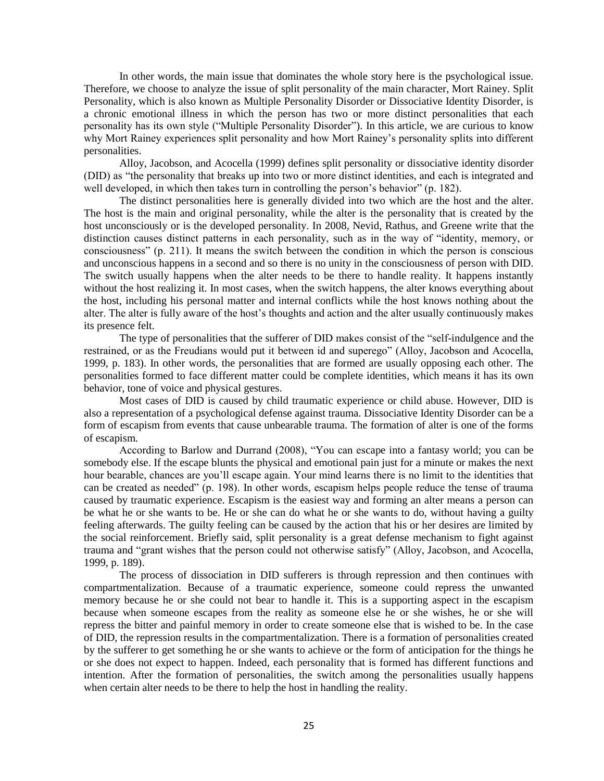In other words, the main issue that dominates the whole story here is the psychological issue. Therefore, we choose to analyze the issue of split personality of the main character, Mort Rainey. Split Personality, which is also known as Multiple Personality Disorder or Dissociative Identity Disorder, is a chronic emotional illness in which the person has two or more distinct personalities that each personality has its own style ("Multiple Personality Disorder"). In this article, we are curious to know why Mort Rainey experiences split personality and how Mort Rainey's personality splits into different personalities.

Alloy, Jacobson, and Acocella (1999) defines split personality or dissociative identity disorder (DID) as "the personality that breaks up into two or more distinct identities, and each is integrated and well developed, in which then takes turn in controlling the person's behavior" (p. 182).

The distinct personalities here is generally divided into two which are the host and the alter. The host is the main and original personality, while the alter is the personality that is created by the host unconsciously or is the developed personality. In 2008, Nevid, Rathus, and Greene write that the distinction causes distinct patterns in each personality, such as in the way of "identity, memory, or consciousness" (p. 211). It means the switch between the condition in which the person is conscious and unconscious happens in a second and so there is no unity in the consciousness of person with DID. The switch usually happens when the alter needs to be there to handle reality. It happens instantly without the host realizing it. In most cases, when the switch happens, the alter knows everything about the host, including his personal matter and internal conflicts while the host knows nothing about the alter. The alter is fully aware of the host's thoughts and action and the alter usually continuously makes its presence felt.

The type of personalities that the sufferer of DID makes consist of the "self-indulgence and the restrained, or as the Freudians would put it between id and superego" (Alloy, Jacobson and Acocella, 1999, p. 183). In other words, the personalities that are formed are usually opposing each other. The personalities formed to face different matter could be complete identities, which means it has its own behavior, tone of voice and physical gestures.

Most cases of DID is caused by child traumatic experience or child abuse. However, DID is also a representation of a psychological defense against trauma. Dissociative Identity Disorder can be a form of escapism from events that cause unbearable trauma. The formation of alter is one of the forms of escapism.

According to Barlow and Durrand (2008), "You can escape into a fantasy world; you can be somebody else. If the escape blunts the physical and emotional pain just for a minute or makes the next hour bearable, chances are you'll escape again. Your mind learns there is no limit to the identities that can be created as needed" (p. 198). In other words, escapism helps people reduce the tense of trauma caused by traumatic experience. Escapism is the easiest way and forming an alter means a person can be what he or she wants to be. He or she can do what he or she wants to do, without having a guilty feeling afterwards. The guilty feeling can be caused by the action that his or her desires are limited by the social reinforcement. Briefly said, split personality is a great defense mechanism to fight against trauma and "grant wishes that the person could not otherwise satisfy" (Alloy, Jacobson, and Acocella, 1999, p. 189).

The process of dissociation in DID sufferers is through repression and then continues with compartmentalization. Because of a traumatic experience, someone could repress the unwanted memory because he or she could not bear to handle it. This is a supporting aspect in the escapism because when someone escapes from the reality as someone else he or she wishes, he or she will repress the bitter and painful memory in order to create someone else that is wished to be. In the case of DID, the repression results in the compartmentalization. There is a formation of personalities created by the sufferer to get something he or she wants to achieve or the form of anticipation for the things he or she does not expect to happen. Indeed, each personality that is formed has different functions and intention. After the formation of personalities, the switch among the personalities usually happens when certain alter needs to be there to help the host in handling the reality.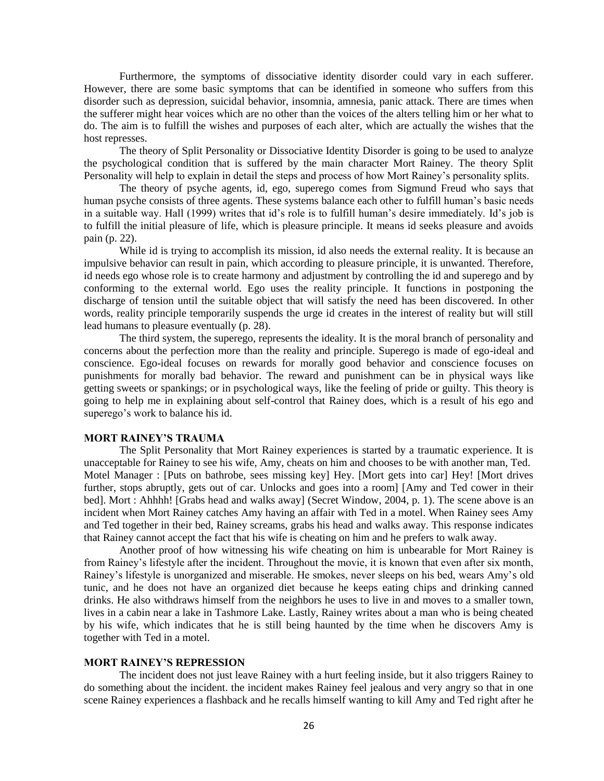Furthermore, the symptoms of dissociative identity disorder could vary in each sufferer. However, there are some basic symptoms that can be identified in someone who suffers from this disorder such as depression, suicidal behavior, insomnia, amnesia, panic attack. There are times when the sufferer might hear voices which are no other than the voices of the alters telling him or her what to do. The aim is to fulfill the wishes and purposes of each alter, which are actually the wishes that the host represses.

The theory of Split Personality or Dissociative Identity Disorder is going to be used to analyze the psychological condition that is suffered by the main character Mort Rainey. The theory Split Personality will help to explain in detail the steps and process of how Mort Rainey's personality splits.

The theory of psyche agents, id, ego, superego comes from Sigmund Freud who says that human psyche consists of three agents. These systems balance each other to fulfill human's basic needs in a suitable way. Hall (1999) writes that id's role is to fulfill human's desire immediately. Id's job is to fulfill the initial pleasure of life, which is pleasure principle. It means id seeks pleasure and avoids pain (p. 22).

While id is trying to accomplish its mission, id also needs the external reality. It is because an impulsive behavior can result in pain, which according to pleasure principle, it is unwanted. Therefore, id needs ego whose role is to create harmony and adjustment by controlling the id and superego and by conforming to the external world. Ego uses the reality principle. It functions in postponing the discharge of tension until the suitable object that will satisfy the need has been discovered. In other words, reality principle temporarily suspends the urge id creates in the interest of reality but will still lead humans to pleasure eventually (p. 28).

The third system, the superego, represents the ideality. It is the moral branch of personality and concerns about the perfection more than the reality and principle. Superego is made of ego-ideal and conscience. Ego-ideal focuses on rewards for morally good behavior and conscience focuses on punishments for morally bad behavior. The reward and punishment can be in physical ways like getting sweets or spankings; or in psychological ways, like the feeling of pride or guilty. This theory is going to help me in explaining about self-control that Rainey does, which is a result of his ego and superego's work to balance his id.

### **MORT RAINEY'S TRAUMA**

The Split Personality that Mort Rainey experiences is started by a traumatic experience. It is unacceptable for Rainey to see his wife, Amy, cheats on him and chooses to be with another man, Ted. Motel Manager : [Puts on bathrobe, sees missing key] Hey. [Mort gets into car] Hey! [Mort drives further, stops abruptly, gets out of car. Unlocks and goes into a room] [Amy and Ted cower in their bed]. Mort : Ahhhh! [Grabs head and walks away] (Secret Window, 2004, p. 1). The scene above is an incident when Mort Rainey catches Amy having an affair with Ted in a motel. When Rainey sees Amy and Ted together in their bed, Rainey screams, grabs his head and walks away. This response indicates that Rainey cannot accept the fact that his wife is cheating on him and he prefers to walk away.

Another proof of how witnessing his wife cheating on him is unbearable for Mort Rainey is from Rainey's lifestyle after the incident. Throughout the movie, it is known that even after six month, Rainey's lifestyle is unorganized and miserable. He smokes, never sleeps on his bed, wears Amy's old tunic, and he does not have an organized diet because he keeps eating chips and drinking canned drinks. He also withdraws himself from the neighbors he uses to live in and moves to a smaller town, lives in a cabin near a lake in Tashmore Lake. Lastly, Rainey writes about a man who is being cheated by his wife, which indicates that he is still being haunted by the time when he discovers Amy is together with Ted in a motel.

## **MORT RAINEY'S REPRESSION**

The incident does not just leave Rainey with a hurt feeling inside, but it also triggers Rainey to do something about the incident. the incident makes Rainey feel jealous and very angry so that in one scene Rainey experiences a flashback and he recalls himself wanting to kill Amy and Ted right after he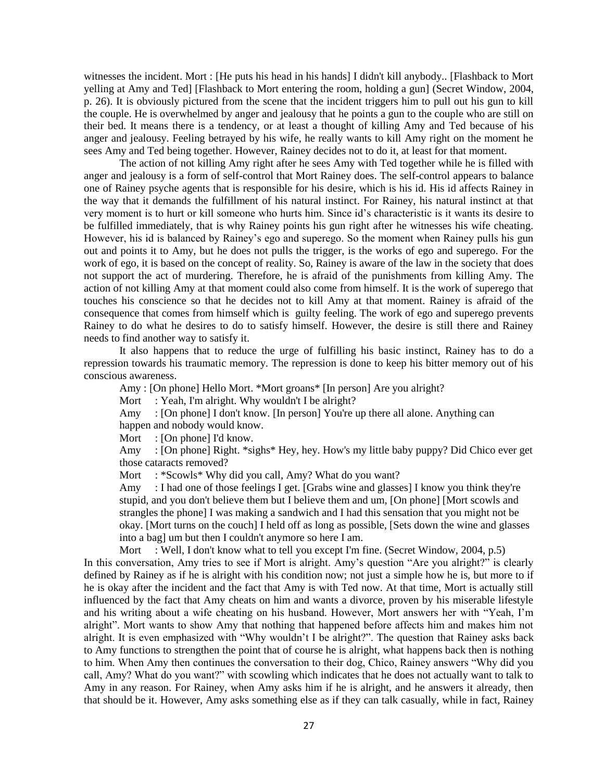witnesses the incident. Mort : [He puts his head in his hands] I didn't kill anybody.. [Flashback to Mort yelling at Amy and Ted] [Flashback to Mort entering the room, holding a gun] (Secret Window, 2004, p. 26). It is obviously pictured from the scene that the incident triggers him to pull out his gun to kill the couple. He is overwhelmed by anger and jealousy that he points a gun to the couple who are still on their bed. It means there is a tendency, or at least a thought of killing Amy and Ted because of his anger and jealousy. Feeling betrayed by his wife, he really wants to kill Amy right on the moment he sees Amy and Ted being together. However, Rainey decides not to do it, at least for that moment.

The action of not killing Amy right after he sees Amy with Ted together while he is filled with anger and jealousy is a form of self-control that Mort Rainey does. The self-control appears to balance one of Rainey psyche agents that is responsible for his desire, which is his id. His id affects Rainey in the way that it demands the fulfillment of his natural instinct. For Rainey, his natural instinct at that very moment is to hurt or kill someone who hurts him. Since id's characteristic is it wants its desire to be fulfilled immediately, that is why Rainey points his gun right after he witnesses his wife cheating. However, his id is balanced by Rainey's ego and superego. So the moment when Rainey pulls his gun out and points it to Amy, but he does not pulls the trigger, is the works of ego and superego. For the work of ego, it is based on the concept of reality. So, Rainey is aware of the law in the society that does not support the act of murdering. Therefore, he is afraid of the punishments from killing Amy. The action of not killing Amy at that moment could also come from himself. It is the work of superego that touches his conscience so that he decides not to kill Amy at that moment. Rainey is afraid of the consequence that comes from himself which is guilty feeling. The work of ego and superego prevents Rainey to do what he desires to do to satisfy himself. However, the desire is still there and Rainey needs to find another way to satisfy it.

It also happens that to reduce the urge of fulfilling his basic instinct, Rainey has to do a repression towards his traumatic memory. The repression is done to keep his bitter memory out of his conscious awareness.

Amy : [On phone] Hello Mort. \*Mort groans\* [In person] Are you alright?

Mort : Yeah, I'm alright. Why wouldn't I be alright?

Amy : [On phone] I don't know. [In person] You're up there all alone. Anything can happen and nobody would know.

Mort : [On phone] I'd know.

Amy : [On phone] Right. \*sighs\* Hey, hey. How's my little baby puppy? Did Chico ever get those cataracts removed?

Mort : \*Scowls\* Why did you call, Amy? What do you want?

Amy : I had one of those feelings I get. [Grabs wine and glasses] I know you think they're stupid, and you don't believe them but I believe them and um, [On phone] [Mort scowls and strangles the phone] I was making a sandwich and I had this sensation that you might not be okay. [Mort turns on the couch] I held off as long as possible, [Sets down the wine and glasses into a bag] um but then I couldn't anymore so here I am.

Mort : Well, I don't know what to tell you except I'm fine. (Secret Window, 2004, p.5) In this conversation, Amy tries to see if Mort is alright. Amy's question "Are you alright?" is clearly defined by Rainey as if he is alright with his condition now; not just a simple how he is, but more to if he is okay after the incident and the fact that Amy is with Ted now. At that time, Mort is actually still influenced by the fact that Amy cheats on him and wants a divorce, proven by his miserable lifestyle and his writing about a wife cheating on his husband. However, Mort answers her with "Yeah, I'm alright". Mort wants to show Amy that nothing that happened before affects him and makes him not alright. It is even emphasized with "Why wouldn't I be alright?". The question that Rainey asks back to Amy functions to strengthen the point that of course he is alright, what happens back then is nothing to him. When Amy then continues the conversation to their dog, Chico, Rainey answers "Why did you call, Amy? What do you want?" with scowling which indicates that he does not actually want to talk to Amy in any reason. For Rainey, when Amy asks him if he is alright, and he answers it already, then that should be it. However, Amy asks something else as if they can talk casually, while in fact, Rainey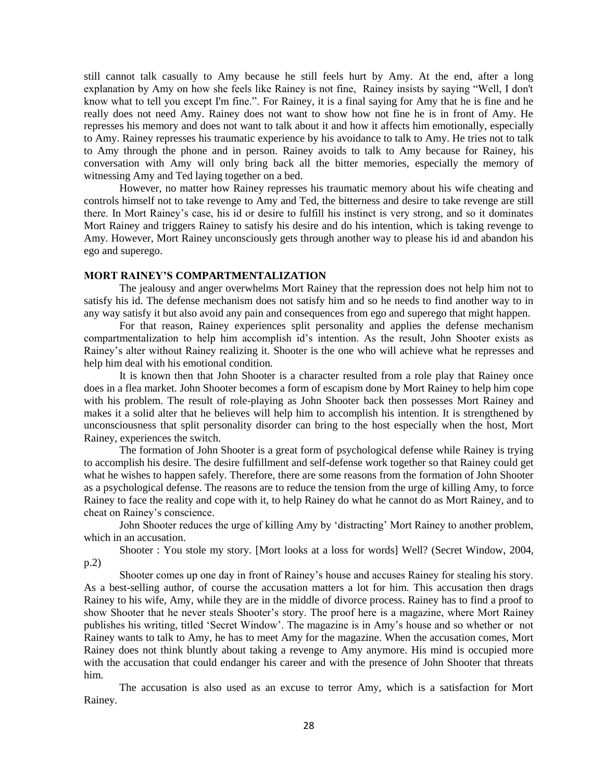still cannot talk casually to Amy because he still feels hurt by Amy. At the end, after a long explanation by Amy on how she feels like Rainey is not fine, Rainey insists by saying "Well, I don't know what to tell you except I'm fine.". For Rainey, it is a final saying for Amy that he is fine and he really does not need Amy. Rainey does not want to show how not fine he is in front of Amy. He represses his memory and does not want to talk about it and how it affects him emotionally, especially to Amy. Rainey represses his traumatic experience by his avoidance to talk to Amy. He tries not to talk to Amy through the phone and in person. Rainey avoids to talk to Amy because for Rainey, his conversation with Amy will only bring back all the bitter memories, especially the memory of witnessing Amy and Ted laying together on a bed.

However, no matter how Rainey represses his traumatic memory about his wife cheating and controls himself not to take revenge to Amy and Ted, the bitterness and desire to take revenge are still there. In Mort Rainey's case, his id or desire to fulfill his instinct is very strong, and so it dominates Mort Rainey and triggers Rainey to satisfy his desire and do his intention, which is taking revenge to Amy. However, Mort Rainey unconsciously gets through another way to please his id and abandon his ego and superego.

## **MORT RAINEY'S COMPARTMENTALIZATION**

The jealousy and anger overwhelms Mort Rainey that the repression does not help him not to satisfy his id. The defense mechanism does not satisfy him and so he needs to find another way to in any way satisfy it but also avoid any pain and consequences from ego and superego that might happen.

For that reason, Rainey experiences split personality and applies the defense mechanism compartmentalization to help him accomplish id's intention. As the result, John Shooter exists as Rainey's alter without Rainey realizing it. Shooter is the one who will achieve what he represses and help him deal with his emotional condition.

It is known then that John Shooter is a character resulted from a role play that Rainey once does in a flea market. John Shooter becomes a form of escapism done by Mort Rainey to help him cope with his problem. The result of role-playing as John Shooter back then possesses Mort Rainey and makes it a solid alter that he believes will help him to accomplish his intention. It is strengthened by unconsciousness that split personality disorder can bring to the host especially when the host, Mort Rainey, experiences the switch.

The formation of John Shooter is a great form of psychological defense while Rainey is trying to accomplish his desire. The desire fulfillment and self-defense work together so that Rainey could get what he wishes to happen safely. Therefore, there are some reasons from the formation of John Shooter as a psychological defense. The reasons are to reduce the tension from the urge of killing Amy, to force Rainey to face the reality and cope with it, to help Rainey do what he cannot do as Mort Rainey, and to cheat on Rainey's conscience.

John Shooter reduces the urge of killing Amy by 'distracting' Mort Rainey to another problem, which in an accusation.

Shooter : You stole my story. [Mort looks at a loss for words] Well? (Secret Window, 2004, p.2)

Shooter comes up one day in front of Rainey's house and accuses Rainey for stealing his story. As a best-selling author, of course the accusation matters a lot for him. This accusation then drags Rainey to his wife, Amy, while they are in the middle of divorce process. Rainey has to find a proof to show Shooter that he never steals Shooter's story. The proof here is a magazine, where Mort Rainey publishes his writing, titled 'Secret Window'. The magazine is in Amy's house and so whether or not Rainey wants to talk to Amy, he has to meet Amy for the magazine. When the accusation comes, Mort Rainey does not think bluntly about taking a revenge to Amy anymore. His mind is occupied more with the accusation that could endanger his career and with the presence of John Shooter that threats him.

The accusation is also used as an excuse to terror Amy, which is a satisfaction for Mort Rainey.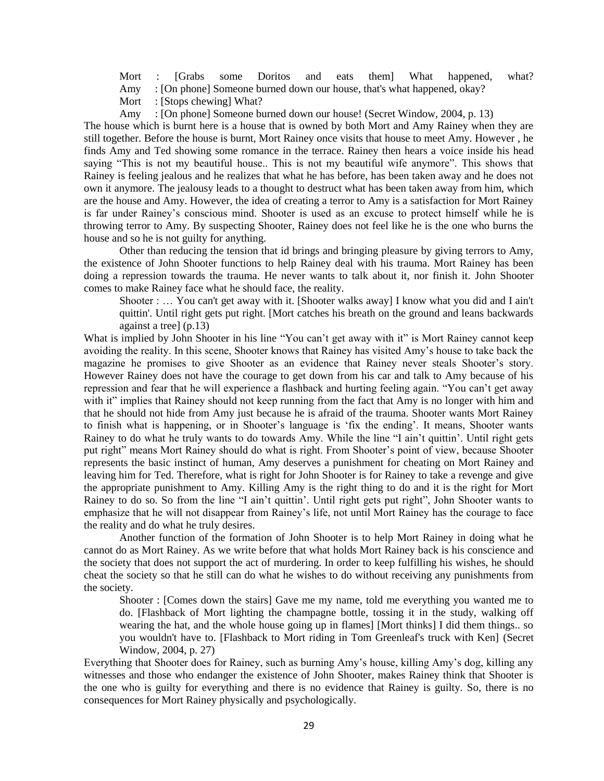Mort : [Grabs some Doritos and eats them] What happened, what?

Amy : [On phone] Someone burned down our house, that's what happened, okay?

Mort : [Stops chewing] What?

Amy : [On phone] Someone burned down our house! (Secret Window, 2004, p. 13)

The house which is burnt here is a house that is owned by both Mort and Amy Rainey when they are still together. Before the house is burnt, Mort Rainey once visits that house to meet Amy. However , he finds Amy and Ted showing some romance in the terrace. Rainey then hears a voice inside his head saying "This is not my beautiful house.. This is not my beautiful wife anymore". This shows that Rainey is feeling jealous and he realizes that what he has before, has been taken away and he does not own it anymore. The jealousy leads to a thought to destruct what has been taken away from him, which are the house and Amy. However, the idea of creating a terror to Amy is a satisfaction for Mort Rainey is far under Rainey's conscious mind. Shooter is used as an excuse to protect himself while he is throwing terror to Amy. By suspecting Shooter, Rainey does not feel like he is the one who burns the house and so he is not guilty for anything.

Other than reducing the tension that id brings and bringing pleasure by giving terrors to Amy, the existence of John Shooter functions to help Rainey deal with his trauma. Mort Rainey has been doing a repression towards the trauma. He never wants to talk about it, nor finish it. John Shooter comes to make Rainey face what he should face, the reality.

Shooter : ... You can't get away with it. [Shooter walks away] I know what you did and I ain't quittin'. Until right gets put right. [Mort catches his breath on the ground and leans backwards against a tree] (p.13)

What is implied by John Shooter in his line "You can't get away with it" is Mort Rainey cannot keep avoiding the reality. In this scene, Shooter knows that Rainey has visited Amy's house to take back the magazine he promises to give Shooter as an evidence that Rainey never steals Shooter's story. However Rainey does not have the courage to get down from his car and talk to Amy because of his repression and fear that he will experience a flashback and hurting feeling again. "You can't get away with it" implies that Rainey should not keep running from the fact that Amy is no longer with him and that he should not hide from Amy just because he is afraid of the trauma. Shooter wants Mort Rainey to finish what is happening, or in Shooter's language is 'fix the ending'. It means, Shooter wants Rainey to do what he truly wants to do towards Amy. While the line "I ain't quittin'. Until right gets put right" means Mort Rainey should do what is right. From Shooter's point of view, because Shooter represents the basic instinct of human, Amy deserves a punishment for cheating on Mort Rainey and leaving him for Ted. Therefore, what is right for John Shooter is for Rainey to take a revenge and give the appropriate punishment to Amy. Killing Amy is the right thing to do and it is the right for Mort Rainey to do so. So from the line "I ain't quittin'. Until right gets put right", John Shooter wants to emphasize that he will not disappear from Rainey's life, not until Mort Rainey has the courage to face the reality and do what he truly desires.

Another function of the formation of John Shooter is to help Mort Rainey in doing what he cannot do as Mort Rainey. As we write before that what holds Mort Rainey back is his conscience and the society that does not support the act of murdering. In order to keep fulfilling his wishes, he should cheat the society so that he still can do what he wishes to do without receiving any punishments from the society.

Shooter : [Comes down the stairs] Gave me my name, told me everything you wanted me to do. [Flashback of Mort lighting the champagne bottle, tossing it in the study, walking off wearing the hat, and the whole house going up in flames] [Mort thinks] I did them things.. so you wouldn't have to. [Flashback to Mort riding in Tom Greenleaf's truck with Ken] (Secret Window, 2004, p. 27)

Everything that Shooter does for Rainey, such as burning Amy's house, killing Amy's dog, killing any witnesses and those who endanger the existence of John Shooter, makes Rainey think that Shooter is the one who is guilty for everything and there is no evidence that Rainey is guilty. So, there is no consequences for Mort Rainey physically and psychologically.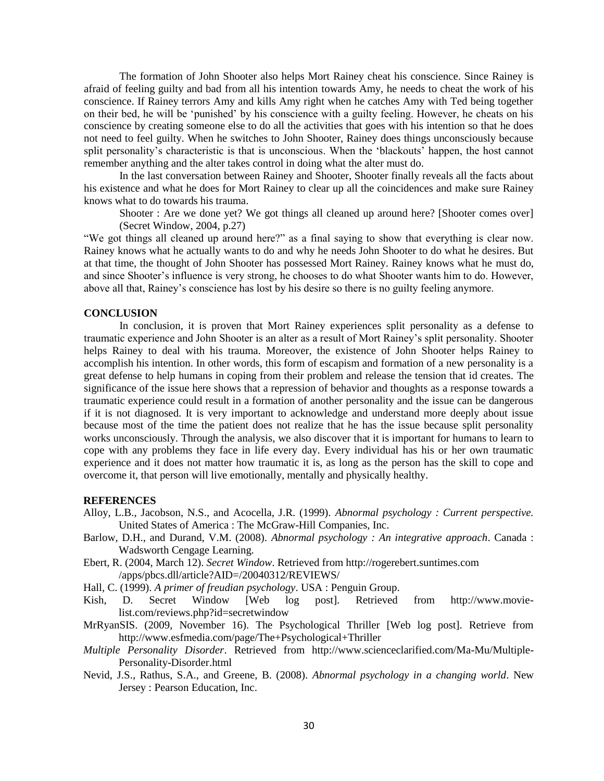The formation of John Shooter also helps Mort Rainey cheat his conscience. Since Rainey is afraid of feeling guilty and bad from all his intention towards Amy, he needs to cheat the work of his conscience. If Rainey terrors Amy and kills Amy right when he catches Amy with Ted being together on their bed, he will be 'punished' by his conscience with a guilty feeling. However, he cheats on his conscience by creating someone else to do all the activities that goes with his intention so that he does not need to feel guilty. When he switches to John Shooter, Rainey does things unconsciously because split personality's characteristic is that is unconscious. When the 'blackouts' happen, the host cannot remember anything and the alter takes control in doing what the alter must do.

In the last conversation between Rainey and Shooter, Shooter finally reveals all the facts about his existence and what he does for Mort Rainey to clear up all the coincidences and make sure Rainey knows what to do towards his trauma.

Shooter : Are we done yet? We got things all cleaned up around here? [Shooter comes over] (Secret Window, 2004, p.27)

"We got things all cleaned up around here?" as a final saying to show that everything is clear now. Rainey knows what he actually wants to do and why he needs John Shooter to do what he desires. But at that time, the thought of John Shooter has possessed Mort Rainey. Rainey knows what he must do, and since Shooter's influence is very strong, he chooses to do what Shooter wants him to do. However, above all that, Rainey's conscience has lost by his desire so there is no guilty feeling anymore.

#### **CONCLUSION**

In conclusion, it is proven that Mort Rainey experiences split personality as a defense to traumatic experience and John Shooter is an alter as a result of Mort Rainey's split personality. Shooter helps Rainey to deal with his trauma. Moreover, the existence of John Shooter helps Rainey to accomplish his intention. In other words, this form of escapism and formation of a new personality is a great defense to help humans in coping from their problem and release the tension that id creates. The significance of the issue here shows that a repression of behavior and thoughts as a response towards a traumatic experience could result in a formation of another personality and the issue can be dangerous if it is not diagnosed. It is very important to acknowledge and understand more deeply about issue because most of the time the patient does not realize that he has the issue because split personality works unconsciously. Through the analysis, we also discover that it is important for humans to learn to cope with any problems they face in life every day. Every individual has his or her own traumatic experience and it does not matter how traumatic it is, as long as the person has the skill to cope and overcome it, that person will live emotionally, mentally and physically healthy.

## **REFERENCES**

- Alloy, L.B., Jacobson, N.S., and Acocella, J.R. (1999). *Abnormal psychology : Current perspective.*  United States of America : The McGraw-Hill Companies, Inc.
- Barlow, D.H., and Durand, V.M. (2008). *Abnormal psychology : An integrative approach*. Canada : Wadsworth Cengage Learning.
- Ebert, R. (2004, March 12). *Secret Window*. Retrieved from http://rogerebert.suntimes.com /apps/pbcs.dll/article?AID=/20040312/REVIEWS/

Hall, C. (1999). *A primer of freudian psychology*. USA : Penguin Group.

- Kish, D. Secret Window [Web log post]. Retrieved from http://www.movielist.com/reviews.php?id=secretwindow
- MrRyanSIS. (2009, November 16). The Psychological Thriller [Web log post]. Retrieve from http://www.esfmedia.com/page/The+Psychological+Thriller
- *Multiple Personality Disorder*. Retrieved from http://www.scienceclarified.com/Ma-Mu/Multiple-Personality-Disorder.html
- Nevid, J.S., Rathus, S.A., and Greene, B. (2008). *Abnormal psychology in a changing world*. New Jersey : Pearson Education, Inc.